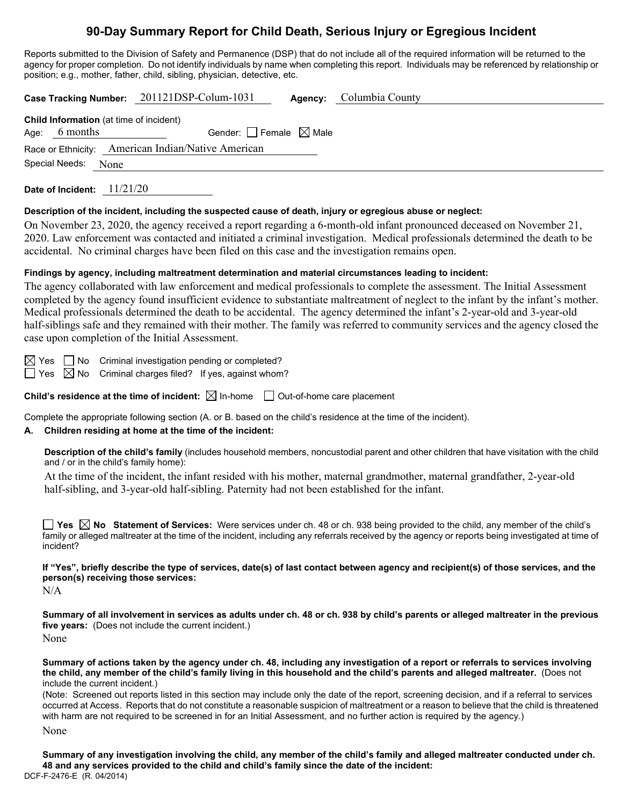# **90-Day Summary Report for Child Death, Serious Injury or Egregious Incident**

Reports submitted to the Division of Safety and Permanence (DSP) that do not include all of the required information will be returned to the agency for proper completion. Do not identify individuals by name when completing this report. Individuals may be referenced by relationship or position; e.g., mother, father, child, sibling, physician, detective, etc.

|                                                    |                                                                   | Case Tracking Number: 201121DSP-Colum-1031 |  | <b>Agency:</b> Columbia County |  |  |  |  |
|----------------------------------------------------|-------------------------------------------------------------------|--------------------------------------------|--|--------------------------------|--|--|--|--|
|                                                    | <b>Child Information</b> (at time of incident)<br>Age: $6$ months | Gender: $\Box$ Female $\boxtimes$ Male     |  |                                |  |  |  |  |
| Race or Ethnicity: American Indian/Native American |                                                                   |                                            |  |                                |  |  |  |  |
|                                                    | Special Needs:<br>None                                            |                                            |  |                                |  |  |  |  |

**Date of Incident:** 11/21/20

#### **Description of the incident, including the suspected cause of death, injury or egregious abuse or neglect:**

On November 23, 2020, the agency received a report regarding a 6-month-old infant pronounced deceased on November 21, 2020. Law enforcement was contacted and initiated a criminal investigation. Medical professionals determined the death to be accidental. No criminal charges have been filed on this case and the investigation remains open.

### **Findings by agency, including maltreatment determination and material circumstances leading to incident:**

The agency collaborated with law enforcement and medical professionals to complete the assessment. The Initial Assessment completed by the agency found insufficient evidence to substantiate maltreatment of neglect to the infant by the infant's mother. Medical professionals determined the death to be accidental. The agency determined the infant's 2-year-old and 3-year-old half-siblings safe and they remained with their mother. The family was referred to community services and the agency closed the case upon completion of the Initial Assessment.

 $\boxtimes$  Yes  $\Box$  No Criminal investigation pending or completed?

 $\Box$  Yes  $\boxtimes$  No Criminal charges filed? If yes, against whom?

**Child's residence at the time of incident:**  $\boxtimes$  In-home  $\Box$  Out-of-home care placement

Complete the appropriate following section (A. or B. based on the child's residence at the time of the incident).

# **A. Children residing at home at the time of the incident:**

**Description of the child's family** (includes household members, noncustodial parent and other children that have visitation with the child and / or in the child's family home):

At the time of the incident, the infant resided with his mother, maternal grandmother, maternal grandfather, 2-year-old half-sibling, and 3-year-old half-sibling. Paternity had not been established for the infant.

**Yes No Statement of Services:** Were services under ch. 48 or ch. 938 being provided to the child, any member of the child's family or alleged maltreater at the time of the incident, including any referrals received by the agency or reports being investigated at time of incident?

**If "Yes", briefly describe the type of services, date(s) of last contact between agency and recipient(s) of those services, and the person(s) receiving those services:**

 $N/A$ 

**Summary of all involvement in services as adults under ch. 48 or ch. 938 by child's parents or alleged maltreater in the previous five years:** (Does not include the current incident.) None

**Summary of actions taken by the agency under ch. 48, including any investigation of a report or referrals to services involving the child, any member of the child's family living in this household and the child's parents and alleged maltreater.** (Does not include the current incident.)

(Note: Screened out reports listed in this section may include only the date of the report, screening decision, and if a referral to services occurred at Access. Reports that do not constitute a reasonable suspicion of maltreatment or a reason to believe that the child is threatened with harm are not required to be screened in for an Initial Assessment, and no further action is required by the agency.)

None

DCF-F-2476-E (R. 04/2014) **Summary of any investigation involving the child, any member of the child's family and alleged maltreater conducted under ch. 48 and any services provided to the child and child's family since the date of the incident:**